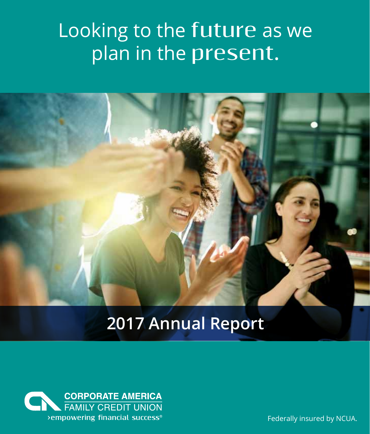## Looking to the **future** as we plan in the **present.**



### **2017 Annual Report**



Federally insured by NCUA.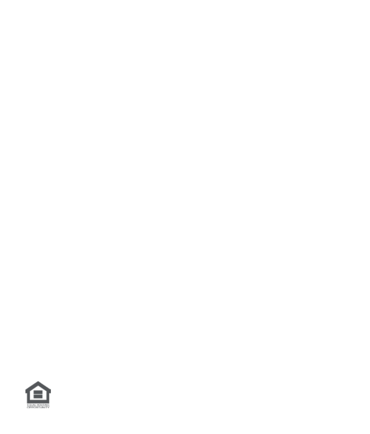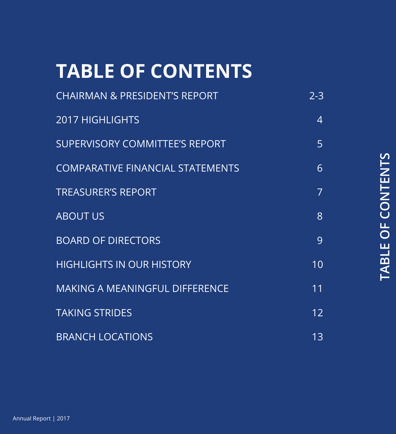## **TABLE OF CONTENTS**

| <b>CHAIRMAN &amp; PRESIDENT'S REPORT</b> | $2 - 3$        |
|------------------------------------------|----------------|
| <b>2017 HIGHLIGHTS</b>                   | 4              |
| <b>SUPERVISORY COMMITTEE'S REPORT</b>    | 5              |
| <b>COMPARATIVE FINANCIAL STATEMENTS</b>  | 6              |
| <b>TREASURER'S REPORT</b>                | $\overline{7}$ |
| <b>ABOUT US</b>                          | 8              |
| <b>BOARD OF DIRECTORS</b>                | 9              |
| <b>HIGHLIGHTS IN OUR HISTORY</b>         | 10             |
| <b>MAKING A MEANINGFUL DIFFERENCE</b>    | 11             |
| <b>TAKING STRIDES</b>                    | 12             |
| <b>BRANCH LOCATIONS</b>                  | 13             |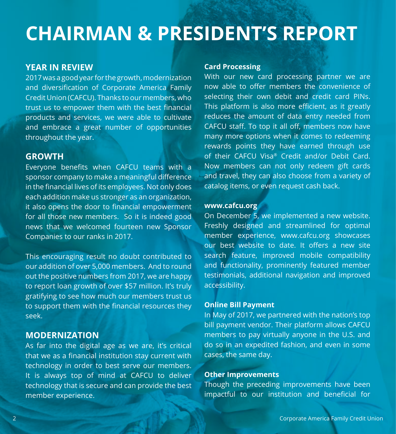### **CHAIRMAN & PRESIDENT'S REPORT**

#### **YEAR IN REVIEW**

2017 was a good year for the growth, modernization and diversification of Corporate America Family Credit Union (CAFCU). Thanks to our members, who trust us to empower them with the best financial products and services, we were able to cultivate and embrace a great number of opportunities throughout the year.

#### **GROWTH**

Everyone benefits when CAFCU teams with a sponsor company to make a meaningful difference in the financial lives of its employees. Not only does each addition make us stronger as an organization, it also opens the door to financial empowerment for all those new members. So it is indeed good news that we welcomed fourteen new Sponsor Companies to our ranks in 2017.

This encouraging result no doubt contributed to our addition of over 5,000 members. And to round out the positive numbers from 2017, we are happy to report loan growth of over \$57 million. It's truly gratifying to see how much our members trust us to support them with the financial resources they seek.

#### **MODERNIZATION**

As far into the digital age as we are, it's critical that we as a financial institution stay current with technology in order to best serve our members. It is always top of mind at CAFCU to deliver technology that is secure and can provide the best member experience.

#### **Card Processing**

With our new card processing partner we are now able to offer members the convenience of selecting their own debit and credit card PINs. This platform is also more efficient, as it greatly reduces the amount of data entry needed from CAFCU staff. To top it all off, members now have many more options when it comes to redeeming rewards points they have earned through use of their CAFCU Visa® Credit and/or Debit Card. Now members can not only redeem gift cards and travel, they can also choose from a variety of catalog items, or even request cash back.

#### **www.cafcu.org**

On December 5, we implemented a new website. Freshly designed and streamlined for optimal member experience, www.cafcu.org showcases our best website to date. It offers a new site search feature, improved mobile compatibility and functionality, prominently featured member testimonials, additional navigation and improved accessibility.

#### **Online Bill Payment**

In May of 2017, we partnered with the nation's top bill payment vendor. Their platform allows CAFCU members to pay virtually anyone in the U.S. and do so in an expedited fashion, and even in some cases, the same day.

#### **Other Improvements**

Though the preceding improvements have been impactful to our institution and beneficial for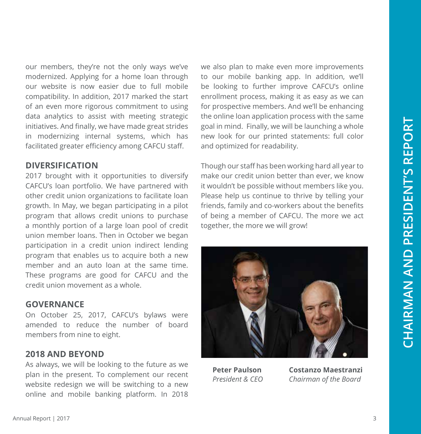our members, they're not the only ways we've modernized. Applying for a home loan through our website is now easier due to full mobile compatibility. In addition, 2017 marked the start of an even more rigorous commitment to using data analytics to assist with meeting strategic initiatives. And finally, we have made great strides in modernizing internal systems, which has facilitated greater efficiency among CAFCU staff.

#### **DIVERSIFICATION**

2017 brought with it opportunities to diversify CAFCU's loan portfolio. We have partnered with other credit union organizations to facilitate loan growth. In May, we began participating in a pilot program that allows credit unions to purchase a monthly portion of a large loan pool of credit union member loans. Then in October we began participation in a credit union indirect lending program that enables us to acquire both a new member and an auto loan at the same time. These programs are good for CAFCU and the credit union movement as a whole.

#### **GOVERNANCE**

On October 25, 2017, CAFCU's bylaws were amended to reduce the number of board members from nine to eight.

#### **2018 AND BEYOND**

As always, we will be looking to the future as we plan in the present. To complement our recent website redesign we will be switching to a new online and mobile banking platform. In 2018 we also plan to make even more improvements to our mobile banking app. In addition, we'll be looking to further improve CAFCU's online enrollment process, making it as easy as we can for prospective members. And we'll be enhancing the online loan application process with the same goal in mind. Finally, we will be launching a whole new look for our printed statements: full color and optimized for readability.

Though our staff has been working hard all year to make our credit union better than ever, we know it wouldn't be possible without members like you. Please help us continue to thrive by telling your friends, family and co-workers about the benefits of being a member of CAFCU. The more we act together, the more we will grow!



**Peter Paulson** *President & CEO*

**Costanzo Maestranzi** *Chairman of the Board*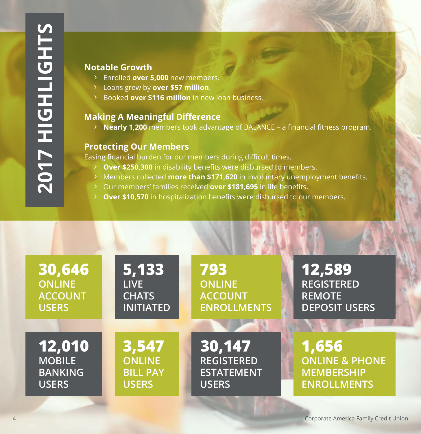#### **Notable Growth**

- **>** Enrolled **over 5,000** new members.
- **>** Loans grew by **over \$57 million**.
- **>** Booked **over \$116 million** in new loan business.

#### **Making A Meaningful Difference**

**> Nearly 1,200** members took advantage of BALANCE – a financial fitness program.

#### **Protecting Our Members**

Easing financial burden for our members during difficult times.

- **Over \$250,300** in disability benefits were disbursed to members.
- **>** Members collected **more than \$171,620** in involuntary unemployment benefits.
- **>** Our members' families received **over \$181,695** in life benefits.
- **> Over \$10,570** in hospitalization benefits were disbursed to our members.

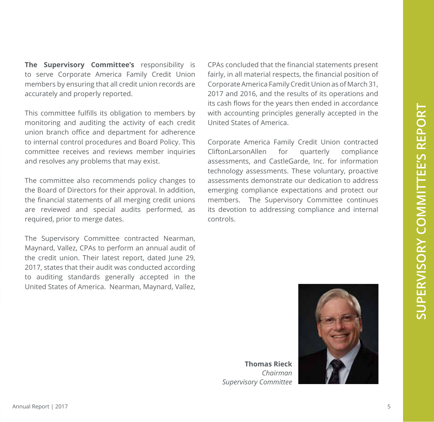**The Supervisory Committee's** responsibility is to serve Corporate America Family Credit Union members by ensuring that all credit union records are accurately and properly reported.

This committee fulfills its obligation to members by monitoring and auditing the activity of each credit union branch office and department for adherence to internal control procedures and Board Policy. This committee receives and reviews member inquiries and resolves any problems that may exist.

The committee also recommends policy changes to the Board of Directors for their approval. In addition, the financial statements of all merging credit unions are reviewed and special audits performed, as required, prior to merge dates.

The Supervisory Committee contracted Nearman, Maynard, Vallez, CPAs to perform an annual audit of the credit union. Their latest report, dated June 29, 2017, states that their audit was conducted according to auditing standards generally accepted in the United States of America. Nearman, Maynard, Vallez, CPAs concluded that the financial statements present fairly, in all material respects, the financial position of Corporate America Family Credit Union as of March 31, 2017 and 2016, and the results of its operations and its cash flows for the years then ended in accordance with accounting principles generally accepted in the United States of America.

Corporate America Family Credit Union contracted CliftonLarsonAllen for quarterly compliance assessments, and CastleGarde, Inc. for information technology assessments. These voluntary, proactive assessments demonstrate our dedication to address emerging compliance expectations and protect our members. The Supervisory Committee continues its devotion to addressing compliance and internal controls.



**Thomas Rieck** *Chairman Supervisory Committee*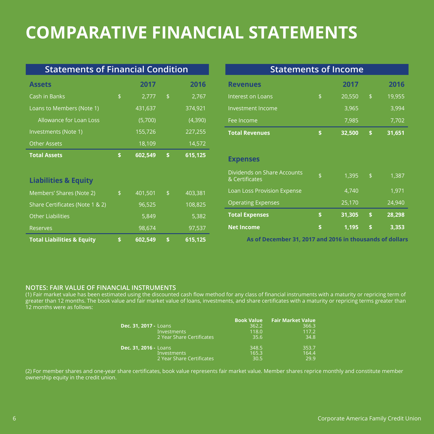### **COMPARATIVE FINANCIAL STATEMENTS**

| <b>Statements of Financial Condition</b> |     |                      | <b>Statements of Income</b> |         |                                                          |    |        |                |        |
|------------------------------------------|-----|----------------------|-----------------------------|---------|----------------------------------------------------------|----|--------|----------------|--------|
| <b>Assets</b>                            |     | 2017                 |                             | 2016    | <b>Revenues</b>                                          |    | 2017   |                | 2016   |
| Cash in Banks                            | \$  | 2,777                | $\mathfrak{S}$              | 2,767   | Interest on Loans                                        | \$ | 20,550 | $\frac{1}{2}$  | 19,955 |
| Loans to Members (Note 1)                |     | 431,637              |                             | 374,921 | Investment Income                                        |    | 3,965  |                | 3,994  |
| Allowance for Loan Loss                  |     | (5,700)              |                             | (4,390) | Fee Income                                               |    | 7,985  |                | 7,702  |
| Investments (Note 1)                     |     | 155,726              |                             | 227,255 | <b>Total Revenues</b>                                    | \$ | 32,500 | \$             | 31,651 |
| <b>Other Assets</b>                      |     | 18,109               |                             | 14,572  |                                                          |    |        |                |        |
| <b>Total Assets</b>                      | \$. | $\overline{602,}549$ | \$.                         | 615,125 | <b>Expenses</b>                                          |    |        |                |        |
| <b>Liabilities &amp; Equity</b>          |     |                      |                             |         | Dividends on Share Accounts<br>& Certificates            | \$ | 1,395  | $\mathfrak{D}$ | 1,387  |
| Members' Shares (Note 2)                 | \$  | 401,501              | $\mathsf{\$}$               | 403,381 | Loan Loss Provision Expense                              |    | 4,740  |                | 1,971  |
| Share Certificates (Note 1 & 2)          |     | 96,525               |                             | 108,825 | <b>Operating Expenses</b>                                |    | 25,170 |                | 24,940 |
| <b>Other Liabilities</b>                 |     | 5,849                |                             | 5,382   | <b>Total Expenses</b>                                    | \$ | 31,305 | \$             | 28,298 |
| Reserves                                 |     | 98,674               |                             | 97,537  | <b>Net Income</b>                                        | \$ | 1,195  | \$             | 3,353  |
| <b>Total Liabilities &amp; Equity</b>    | \$. | 602,549              | \$                          | 615,125 | As of December 31, 2017 and 2016 in thousands of dollars |    |        |                |        |

#### **NOTES: FAIR VALUE OF FINANCIAL INSTRUMENTS**

(1) Fair market value has been estimated using the discounted cash flow method for any class of financial instruments with a maturity or repricing term of greater than 12 months. The book value and fair market value of loans, investments, and share certificates with a maturity or repricing terms greater than 12 months were as follows:

| Dec. 31, 2017 - Loans<br><b>Investments</b><br>2 Year Share Certificates | <b>Book Value</b><br>362.2<br>118.0<br>35.6 | <b>Fair Market Value</b><br>366.3<br>117.2<br>34.8 |
|--------------------------------------------------------------------------|---------------------------------------------|----------------------------------------------------|
| Dec. 31, 2016 - Loans                                                    | 348.5                                       | 353.7                                              |
| <b>Investments</b>                                                       | 165.3                                       | 164.4                                              |
| 2 Year Share Certificates                                                | 30.5                                        | 29.9                                               |

(2) For member shares and one-year share certificates, book value represents fair market value. Member shares reprice monthly and constitute member ownership equity in the credit union.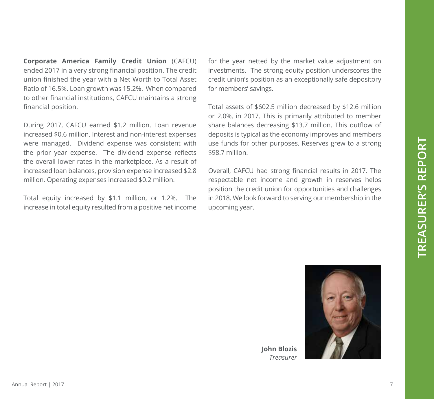**Corporate America Family Credit Union** (CAFCU) ended 2017 in a very strong financial position. The credit union finished the year with a Net Worth to Total Asset Ratio of 16.5%. Loan growth was 15.2%. When compared to other financial institutions, CAFCU maintains a strong financial position.

During 2017, CAFCU earned \$1.2 million. Loan revenue increased \$0.6 million. Interest and non-interest expenses were managed. Dividend expense was consistent with the prior year expense. The dividend expense reflects the overall lower rates in the marketplace. As a result of increased loan balances, provision expense increased \$2.8 million. Operating expenses increased \$0.2 million.

Total equity increased by \$1.1 million, or 1.2%. The increase in total equity resulted from a positive net income for the year netted by the market value adjustment on investments. The strong equity position underscores the credit union's position as an exceptionally safe depository for members' savings.

Total assets of \$602.5 million decreased by \$12.6 million or 2.0%, in 2017. This is primarily attributed to member share balances decreasing \$13.7 million. This outflow of deposits is typical as the economy improves and members use funds for other purposes. Reserves grew to a strong \$98.7 million.

Overall, CAFCU had strong financial results in 2017. The respectable net income and growth in reserves helps position the credit union for opportunities and challenges in 2018. We look forward to serving our membership in the upcoming year.



**John Blozis** *Treasurer*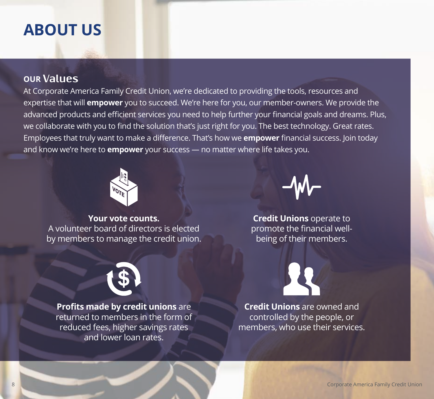### **ABOUT US**

#### **OUR Values**

At Corporate America Family Credit Union, we're dedicated to providing the tools, resources and expertise that will **empower** you to succeed. We're here for you, our member-owners. We provide the advanced products and efficient services you need to help further your financial goals and dreams. Plus, we collaborate with you to find the solution that's just right for you. The best technology. Great rates. Employees that truly want to make a difference. That's how we **empower** financial success. Join today and know we're here to **empower** your success — no matter where life takes you.



**Your vote counts.** A volunteer board of directors is elected by members to manage the credit union.



**Credit Unions** operate to promote the financial wellbeing of their members.



**Profits made by credit unions** are returned to members in the form of reduced fees, higher savings rates and lower loan rates.



**Credit Unions** are owned and controlled by the people, or members, who use their services.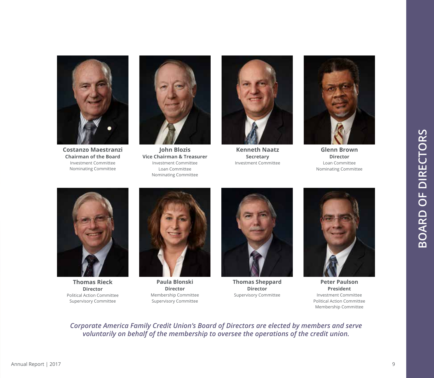

**Costanzo Maestranzi Chairman of the Board** Investment Committee Nominating Committee



**John Blozis Vice Chairman & Treasurer** Investment Committee Loan Committee Nominating Committee



**Kenneth Naatz Secretary** Investment Committee



**Glenn Brown Director** Loan Committee Nominating Committee



**Thomas Rieck Director** Political Action Committee Supervisory Committee



**Paula Blonski Director** Membership Committee Supervisory Committee



**Thomas Sheppard Director** Supervisory Committee



**Peter Paulson President** Investment Committee Political Action Committee Membership Committee

*Corporate America Family Credit Union's Board of Directors are elected by members and serve voluntarily on behalf of the membership to oversee the operations of the credit union.*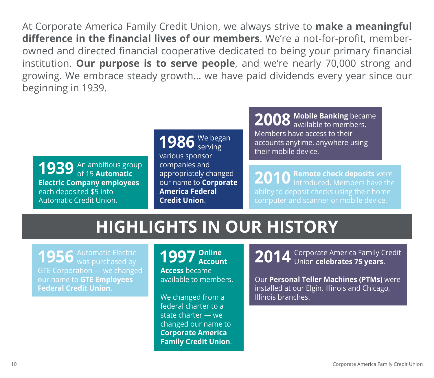At Corporate America Family Credit Union, we always strive to **make a meaningful difference in the financial lives of our members**. We're a not-for-profit, memberowned and directed financial cooperative dedicated to being your primary financial institution. **Our purpose is to serve people**, and we're nearly 70,000 strong and growing. We embrace steady growth... we have paid dividends every year since our beginning in 1939.

An ambitious group **1939** An ambitious grought of 15 **Automatic Electric Company employees** each deposited \$5 into Automatic Credit Union.

**1986** We began various sponsor companies and appropriately changed our name to **Corporate America Federal Credit Union**.

**2008 Mobile Banking** became available to members. Members have access to their accounts anytime, anywhere using their mobile device.

**2010** Remote check deposits were introduced. Members have the ability to deposit checks using their home computer and scanner or mobile device.

## **HIGHLIGHTS IN OUR HISTORY**

**1956** Automatic Electric<br>was purchased by GTE Corporation — we changed our name to **GTE Employees Federal Credit Union**.

**1997 Online Account Access** became available to members.

We changed from a federal charter to a state charter — we changed our name to **Corporate America Family Credit Union**. **2014** Corporate America Family Credit Union **celebrates 75 years**.

Our **Personal Teller Machines (PTMs)** were installed at our Elgin, Illinois and Chicago, Illinois branches.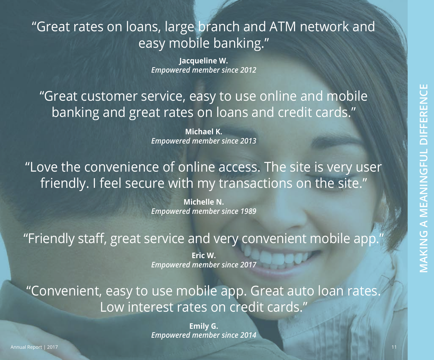### "Great rates on loans, large branch and ATM network and easy mobile banking."

**Jacqueline W.** *Empowered member since 2012*

"Great customer service, easy to use online and mobile banking and great rates on loans and credit cards."

> **Michael K.** *Empowered member since 2013*

"Love the convenience of online access. The site is very user friendly. I feel secure with my transactions on the site."

> **Michelle N.** *Empowered member since 1989*

"Friendly staff, great service and very convenient mobile app."

**Eric W.** *Empowered member since 2017*

"Convenient, easy to use mobile app. Great auto loan rates. Low interest rates on credit cards."

> **Emily G.** *Empowered member since 2014*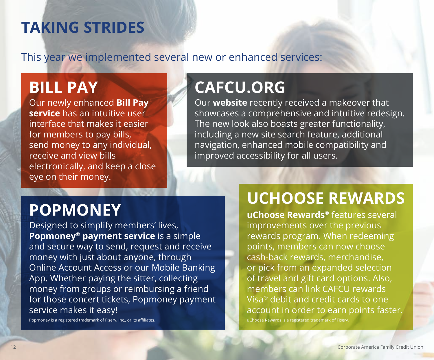### **TAKING STRIDES**

This year we implemented several new or enhanced services:

### **BILL PAY**

Our newly enhanced **Bill Pay service** has an intuitive user interface that makes it easier for members to pay bills, send money to any individual, receive and view bills electronically, and keep a close eye on their money.

## **CAFCU.ORG**

Our **website** recently received a makeover that showcases a comprehensive and intuitive redesign. The new look also boasts greater functionality, including a new site search feature, additional navigation, enhanced mobile compatibility and improved accessibility for all users.

## **POPMONEY**

Designed to simplify members' lives, **Popmoney® payment service** is a simple and secure way to send, request and receive money with just about anyone, through Online Account Access or our Mobile Banking App. Whether paying the sitter, collecting money from groups or reimbursing a friend for those concert tickets, Popmoney payment service makes it easy!

Popmoney is a registered trademark of Fiserv, Inc., or its affiliates.

## **UCHOOSE REWARDS**

**uChoose Rewards®** features several improvements over the previous rewards program. When redeeming points, members can now choose cash-back rewards, merchandise, or pick from an expanded selection of travel and gift card options. Also, members can link CAFCU rewards Visa® debit and credit cards to one account in order to earn points faster.

uChoose Rewards is a registered trademark of Fiserv,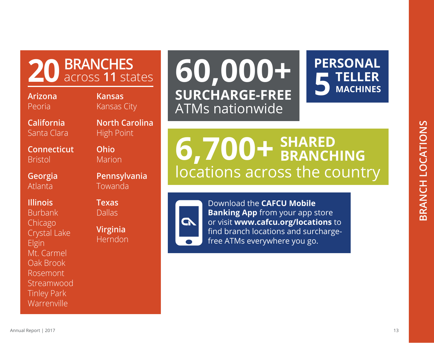

Chicago Crystal Lake Elgin Mt. Carmel Oak Brook Rosemont Streamwood Tinley Park Warrenville

**North Carolina Kansas**  Kansas City

**20 BRANCHES** across **11** states

High Point

**California** Santa Clara

**Connecticut** Bristol

**Georgia** Atlanta

**Illinois**

**Arizona** Peoria

> **Ohio** Marion **Pennsylvania**

Towanda

**Texas** Dallas

**Virginia** Herndon

# **60,000+ SURCHARGE-FREE** ATMs nationwide

**5 PERSONAL TELLER MACHINES**

locations across the country **6,700+ SHARED BRANCHING**

> Download the **CAFCU Mobile Banking App** from your app store or visit **www.cafcu.org/locations** to find branch locations and surchargefree ATMs everywhere you go.

GN